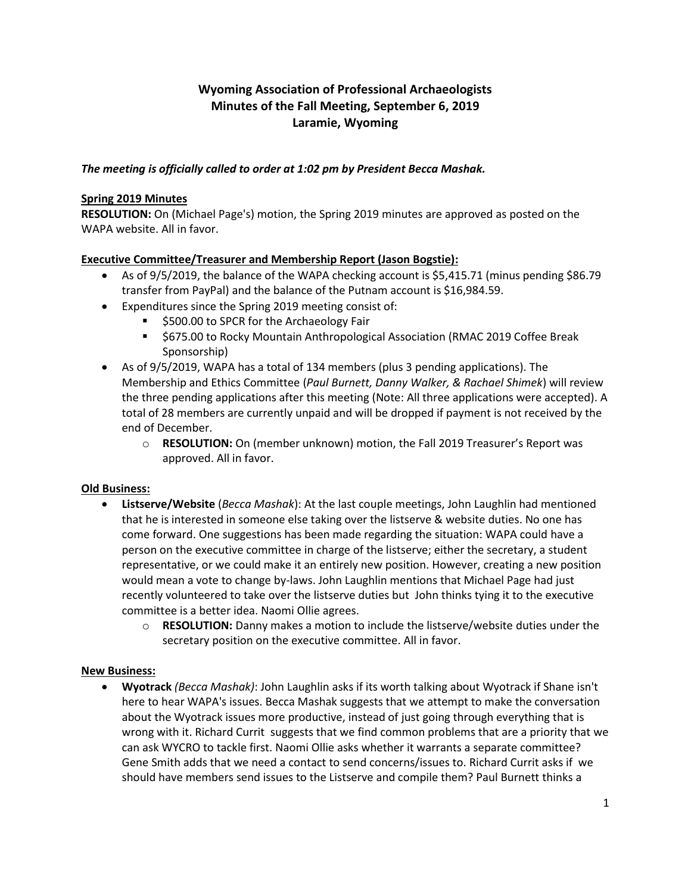# **Wyoming Association of Professional Archaeologists Minutes of the Fall Meeting, September 6, 2019 Laramie, Wyoming**

# *The meeting is officially called to order at 1:02 pm by President Becca Mashak.*

## **Spring 2019 Minutes**

**RESOLUTION:** On (Michael Page's) motion, the Spring 2019 minutes are approved as posted on the WAPA website. All in favor.

# **Executive Committee/Treasurer and Membership Report (Jason Bogstie):**

- As of 9/5/2019, the balance of the WAPA checking account is \$5,415.71 (minus pending \$86.79 transfer from PayPal) and the balance of the Putnam account is \$16,984.59.
- Expenditures since the Spring 2019 meeting consist of:
	- \$500.00 to SPCR for the Archaeology Fair
	- \$675.00 to Rocky Mountain Anthropological Association (RMAC 2019 Coffee Break Sponsorship)
- As of 9/5/2019, WAPA has a total of 134 members (plus 3 pending applications). The Membership and Ethics Committee (*Paul Burnett, Danny Walker, & Rachael Shimek*) will review the three pending applications after this meeting (Note: All three applications were accepted). A total of 28 members are currently unpaid and will be dropped if payment is not received by the end of December.
	- o **RESOLUTION:** On (member unknown) motion, the Fall 2019 Treasurer's Report was approved. All in favor.

### **Old Business:**

- **Listserve/Website** (*Becca Mashak*): At the last couple meetings, John Laughlin had mentioned that he is interested in someone else taking over the listserve & website duties. No one has come forward. One suggestions has been made regarding the situation: WAPA could have a person on the executive committee in charge of the listserve; either the secretary, a student representative, or we could make it an entirely new position. However, creating a new position would mean a vote to change by-laws. John Laughlin mentions that Michael Page had just recently volunteered to take over the listserve duties but John thinks tying it to the executive committee is a better idea. Naomi Ollie agrees.
	- o **RESOLUTION:** Danny makes a motion to include the listserve/website duties under the secretary position on the executive committee. All in favor.

### **New Business:**

 **Wyotrack** *(Becca Mashak)*: John Laughlin asks if its worth talking about Wyotrack if Shane isn't here to hear WAPA's issues. Becca Mashak suggests that we attempt to make the conversation about the Wyotrack issues more productive, instead of just going through everything that is wrong with it. Richard Currit suggests that we find common problems that are a priority that we can ask WYCRO to tackle first. Naomi Ollie asks whether it warrants a separate committee? Gene Smith adds that we need a contact to send concerns/issues to. Richard Currit asks if we should have members send issues to the Listserve and compile them? Paul Burnett thinks a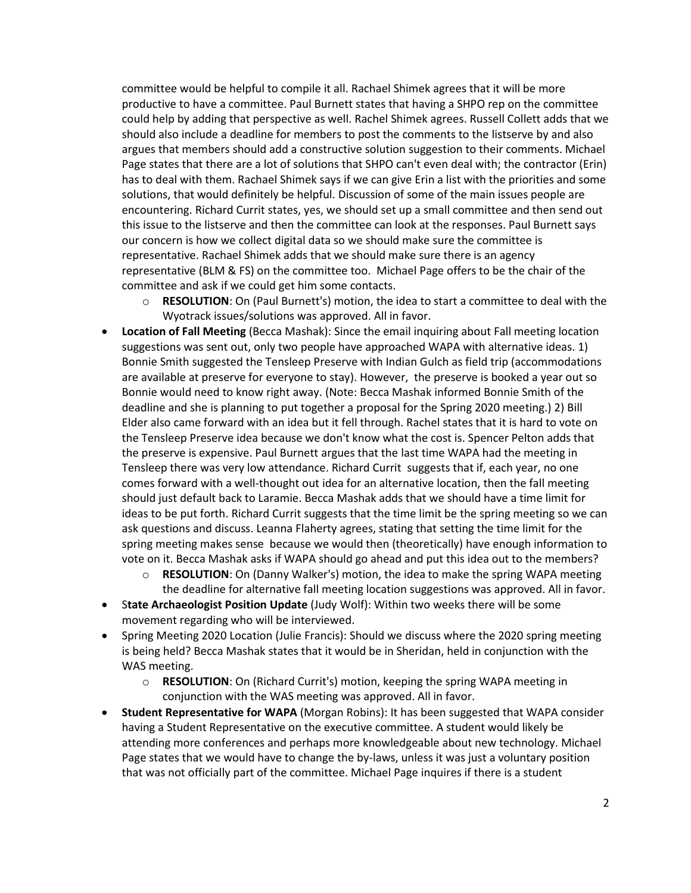committee would be helpful to compile it all. Rachael Shimek agrees that it will be more productive to have a committee. Paul Burnett states that having a SHPO rep on the committee could help by adding that perspective as well. Rachel Shimek agrees. Russell Collett adds that we should also include a deadline for members to post the comments to the listserve by and also argues that members should add a constructive solution suggestion to their comments. Michael Page states that there are a lot of solutions that SHPO can't even deal with; the contractor (Erin) has to deal with them. Rachael Shimek says if we can give Erin a list with the priorities and some solutions, that would definitely be helpful. Discussion of some of the main issues people are encountering. Richard Currit states, yes, we should set up a small committee and then send out this issue to the listserve and then the committee can look at the responses. Paul Burnett says our concern is how we collect digital data so we should make sure the committee is representative. Rachael Shimek adds that we should make sure there is an agency representative (BLM & FS) on the committee too. Michael Page offers to be the chair of the committee and ask if we could get him some contacts.

- o **RESOLUTION**: On (Paul Burnett's) motion, the idea to start a committee to deal with the Wyotrack issues/solutions was approved. All in favor.
- **Location of Fall Meeting** (Becca Mashak): Since the email inquiring about Fall meeting location suggestions was sent out, only two people have approached WAPA with alternative ideas. 1) Bonnie Smith suggested the Tensleep Preserve with Indian Gulch as field trip (accommodations are available at preserve for everyone to stay). However, the preserve is booked a year out so Bonnie would need to know right away. (Note: Becca Mashak informed Bonnie Smith of the deadline and she is planning to put together a proposal for the Spring 2020 meeting.) 2) Bill Elder also came forward with an idea but it fell through. Rachel states that it is hard to vote on the Tensleep Preserve idea because we don't know what the cost is. Spencer Pelton adds that the preserve is expensive. Paul Burnett argues that the last time WAPA had the meeting in Tensleep there was very low attendance. Richard Currit suggests that if, each year, no one comes forward with a well-thought out idea for an alternative location, then the fall meeting should just default back to Laramie. Becca Mashak adds that we should have a time limit for ideas to be put forth. Richard Currit suggests that the time limit be the spring meeting so we can ask questions and discuss. Leanna Flaherty agrees, stating that setting the time limit for the spring meeting makes sense because we would then (theoretically) have enough information to vote on it. Becca Mashak asks if WAPA should go ahead and put this idea out to the members?
	- o **RESOLUTION**: On (Danny Walker's) motion, the idea to make the spring WAPA meeting the deadline for alternative fall meeting location suggestions was approved. All in favor.
- S**tate Archaeologist Position Update** (Judy Wolf): Within two weeks there will be some movement regarding who will be interviewed.
- Spring Meeting 2020 Location (Julie Francis): Should we discuss where the 2020 spring meeting is being held? Becca Mashak states that it would be in Sheridan, held in conjunction with the WAS meeting.
	- o **RESOLUTION**: On (Richard Currit's) motion, keeping the spring WAPA meeting in conjunction with the WAS meeting was approved. All in favor.
- **Student Representative for WAPA** (Morgan Robins): It has been suggested that WAPA consider having a Student Representative on the executive committee. A student would likely be attending more conferences and perhaps more knowledgeable about new technology. Michael Page states that we would have to change the by-laws, unless it was just a voluntary position that was not officially part of the committee. Michael Page inquires if there is a student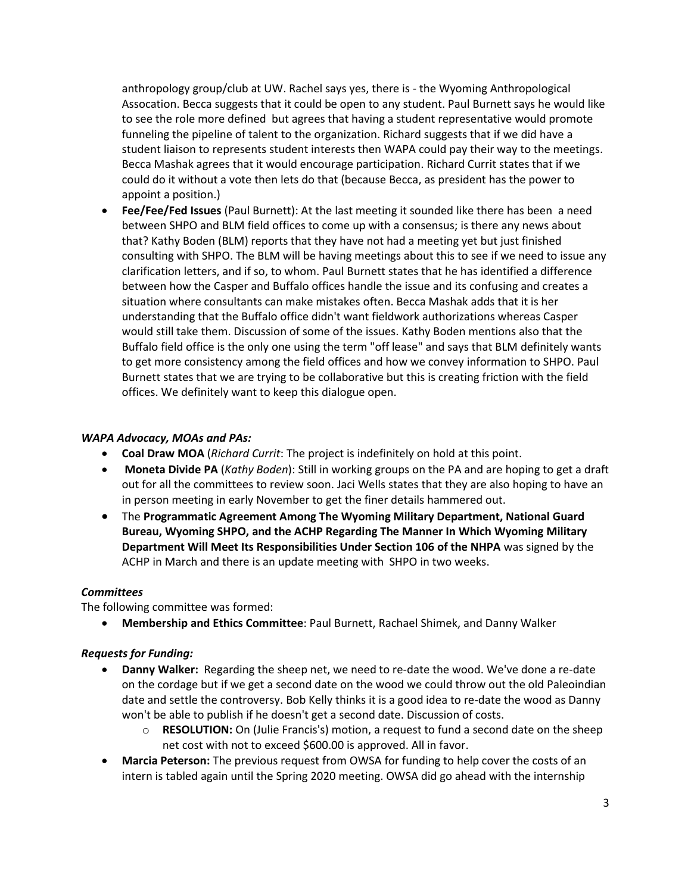anthropology group/club at UW. Rachel says yes, there is - the Wyoming Anthropological Assocation. Becca suggests that it could be open to any student. Paul Burnett says he would like to see the role more defined but agrees that having a student representative would promote funneling the pipeline of talent to the organization. Richard suggests that if we did have a student liaison to represents student interests then WAPA could pay their way to the meetings. Becca Mashak agrees that it would encourage participation. Richard Currit states that if we could do it without a vote then lets do that (because Becca, as president has the power to appoint a position.)

 **Fee/Fee/Fed Issues** (Paul Burnett): At the last meeting it sounded like there has been a need between SHPO and BLM field offices to come up with a consensus; is there any news about that? Kathy Boden (BLM) reports that they have not had a meeting yet but just finished consulting with SHPO. The BLM will be having meetings about this to see if we need to issue any clarification letters, and if so, to whom. Paul Burnett states that he has identified a difference between how the Casper and Buffalo offices handle the issue and its confusing and creates a situation where consultants can make mistakes often. Becca Mashak adds that it is her understanding that the Buffalo office didn't want fieldwork authorizations whereas Casper would still take them. Discussion of some of the issues. Kathy Boden mentions also that the Buffalo field office is the only one using the term "off lease" and says that BLM definitely wants to get more consistency among the field offices and how we convey information to SHPO. Paul Burnett states that we are trying to be collaborative but this is creating friction with the field offices. We definitely want to keep this dialogue open.

### *WAPA Advocacy, MOAs and PAs:*

- **Coal Draw MOA** (*Richard Currit*: The project is indefinitely on hold at this point.
- **Moneta Divide PA** (*Kathy Boden*): Still in working groups on the PA and are hoping to get a draft out for all the committees to review soon. Jaci Wells states that they are also hoping to have an in person meeting in early November to get the finer details hammered out.
- The **Programmatic Agreement Among The Wyoming Military Department, National Guard Bureau, Wyoming SHPO, and the ACHP Regarding The Manner In Which Wyoming Military Department Will Meet Its Responsibilities Under Section 106 of the NHPA** was signed by the ACHP in March and there is an update meeting with SHPO in two weeks.

### *Committees*

The following committee was formed:

**Membership and Ethics Committee**: Paul Burnett, Rachael Shimek, and Danny Walker

#### *Requests for Funding:*

- **Danny Walker:** Regarding the sheep net, we need to re-date the wood. We've done a re-date on the cordage but if we get a second date on the wood we could throw out the old Paleoindian date and settle the controversy. Bob Kelly thinks it is a good idea to re-date the wood as Danny won't be able to publish if he doesn't get a second date. Discussion of costs.
	- o **RESOLUTION:** On (Julie Francis's) motion, a request to fund a second date on the sheep net cost with not to exceed \$600.00 is approved. All in favor.
- **Marcia Peterson:** The previous request from OWSA for funding to help cover the costs of an intern is tabled again until the Spring 2020 meeting. OWSA did go ahead with the internship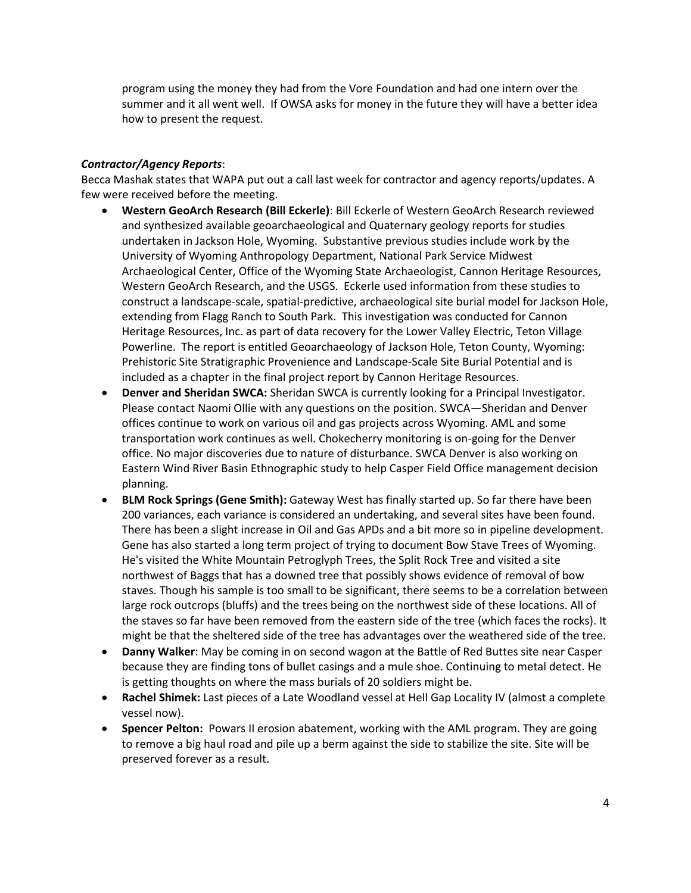program using the money they had from the Vore Foundation and had one intern over the summer and it all went well. If OWSA asks for money in the future they will have a better idea how to present the request.

# *Contractor/Agency Reports*:

Becca Mashak states that WAPA put out a call last week for contractor and agency reports/updates. A few were received before the meeting.

- **Western GeoArch Research (Bill Eckerle)**: Bill Eckerle of Western GeoArch Research reviewed and synthesized available geoarchaeological and Quaternary geology reports for studies undertaken in Jackson Hole, Wyoming. Substantive previous studies include work by the University of Wyoming Anthropology Department, National Park Service Midwest Archaeological Center, Office of the Wyoming State Archaeologist, Cannon Heritage Resources, Western GeoArch Research, and the USGS. Eckerle used information from these studies to construct a landscape-scale, spatial-predictive, archaeological site burial model for Jackson Hole, extending from Flagg Ranch to South Park. This investigation was conducted for Cannon Heritage Resources, Inc. as part of data recovery for the Lower Valley Electric, Teton Village Powerline. The report is entitled Geoarchaeology of Jackson Hole, Teton County, Wyoming: Prehistoric Site Stratigraphic Provenience and Landscape-Scale Site Burial Potential and is included as a chapter in the final project report by Cannon Heritage Resources.
- **Denver and Sheridan SWCA:** Sheridan SWCA is currently looking for a Principal Investigator. Please contact Naomi Ollie with any questions on the position. SWCA—Sheridan and Denver offices continue to work on various oil and gas projects across Wyoming. AML and some transportation work continues as well. Chokecherry monitoring is on-going for the Denver office. No major discoveries due to nature of disturbance. SWCA Denver is also working on Eastern Wind River Basin Ethnographic study to help Casper Field Office management decision planning.
- **BLM Rock Springs (Gene Smith):** Gateway West has finally started up. So far there have been 200 variances, each variance is considered an undertaking, and several sites have been found. There has been a slight increase in Oil and Gas APDs and a bit more so in pipeline development. Gene has also started a long term project of trying to document Bow Stave Trees of Wyoming. He's visited the White Mountain Petroglyph Trees, the Split Rock Tree and visited a site northwest of Baggs that has a downed tree that possibly shows evidence of removal of bow staves. Though his sample is too small to be significant, there seems to be a correlation between large rock outcrops (bluffs) and the trees being on the northwest side of these locations. All of the staves so far have been removed from the eastern side of the tree (which faces the rocks). It might be that the sheltered side of the tree has advantages over the weathered side of the tree.
- **Danny Walker**: May be coming in on second wagon at the Battle of Red Buttes site near Casper because they are finding tons of bullet casings and a mule shoe. Continuing to metal detect. He is getting thoughts on where the mass burials of 20 soldiers might be.
- **Rachel Shimek:** Last pieces of a Late Woodland vessel at Hell Gap Locality IV (almost a complete vessel now).
- **Spencer Pelton:** Powars II erosion abatement, working with the AML program. They are going to remove a big haul road and pile up a berm against the side to stabilize the site. Site will be preserved forever as a result.